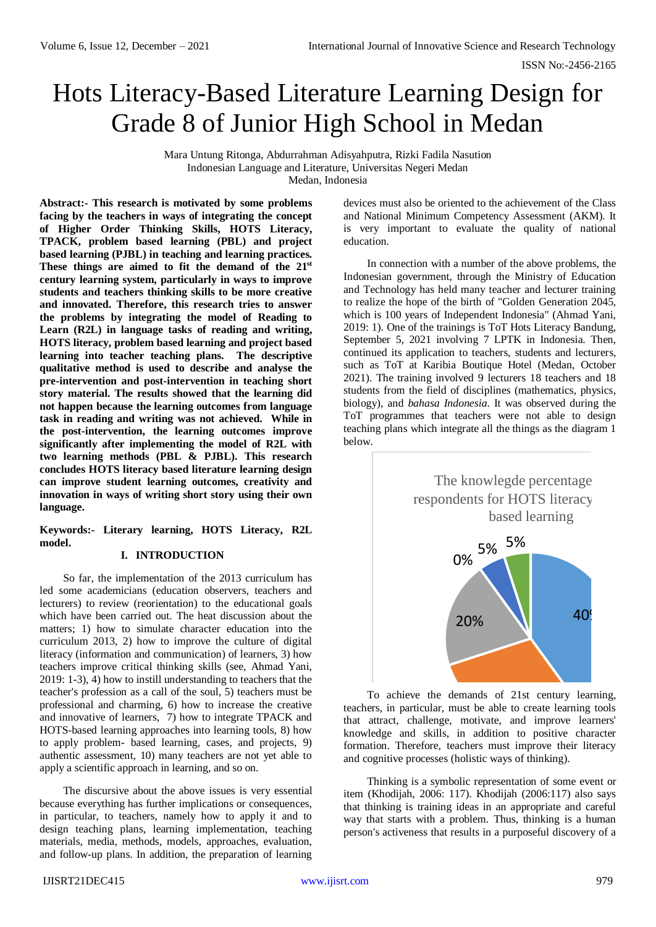# Hots Literacy-Based Literature Learning Design for Grade 8 of Junior High School in Medan

Mara Untung Ritonga, Abdurrahman Adisyahputra, Rizki Fadila Nasution Indonesian Language and Literature, Universitas Negeri Medan Medan, Indonesia

**Abstract:- This research is motivated by some problems facing by the teachers in ways of integrating the concept of Higher Order Thinking Skills, HOTS Literacy, TPACK, problem based learning (PBL) and project based learning (PJBL) in teaching and learning practices. These things are aimed to fit the demand of the 21st century learning system, particularly in ways to improve students and teachers thinking skills to be more creative and innovated. Therefore, this research tries to answer the problems by integrating the model of Reading to Learn (R2L) in language tasks of reading and writing, HOTS literacy, problem based learning and project based learning into teacher teaching plans. The descriptive qualitative method is used to describe and analyse the pre-intervention and post-intervention in teaching short story material. The results showed that the learning did not happen because the learning outcomes from language task in reading and writing was not achieved. While in the post-intervention, the learning outcomes improve significantly after implementing the model of R2L with two learning methods (PBL & PJBL). This research concludes HOTS literacy based literature learning design can improve student learning outcomes, creativity and innovation in ways of writing short story using their own language.**

**Keywords:- Literary learning, HOTS Literacy, R2L model.** 

## **I. INTRODUCTION**

So far, the implementation of the 2013 curriculum has led some academicians (education observers, teachers and lecturers) to review (reorientation) to the educational goals which have been carried out. The heat discussion about the matters; 1) how to simulate character education into the curriculum 2013, 2) how to improve the culture of digital literacy (information and communication) of learners, 3) how teachers improve critical thinking skills (see, Ahmad Yani, 2019: 1-3), 4) how to instill understanding to teachers that the teacher's profession as a call of the soul, 5) teachers must be professional and charming, 6) how to increase the creative and innovative of learners, 7) how to integrate TPACK and HOTS-based learning approaches into learning tools, 8) how to apply problem- based learning, cases, and projects, 9) authentic assessment, 10) many teachers are not yet able to apply a scientific approach in learning, and so on.

The discursive about the above issues is very essential because everything has further implications or consequences, in particular, to teachers, namely how to apply it and to design teaching plans, learning implementation, teaching materials, media, methods, models, approaches, evaluation, and follow-up plans. In addition, the preparation of learning devices must also be oriented to the achievement of the Class and National Minimum Competency Assessment (AKM). It is very important to evaluate the quality of national education.

In connection with a number of the above problems, the Indonesian government, through the Ministry of Education and Technology has held many teacher and lecturer training to realize the hope of the birth of "Golden Generation 2045, which is 100 years of Independent Indonesia" (Ahmad Yani, 2019: 1). One of the trainings is ToT Hots Literacy Bandung, September 5, 2021 involving 7 LPTK in Indonesia. Then, continued its application to teachers, students and lecturers, such as ToT at Karibia Boutique Hotel (Medan, October 2021). The training involved 9 lecturers 18 teachers and 18 students from the field of disciplines (mathematics, physics, biology), and *bahasa Indonesia*. It was observed during the ToT programmes that teachers were not able to design teaching plans which integrate all the things as the diagram 1 below.



To achieve the demands of 21st century learning, knowledge and skills, in addition to positive character<br>formation Therefore tookers must improve their literacy. and cognitive processes (holistic ways of thinking). teachers, in particular, must be able to create learning tools that attract, challenge, motivate, and improve learners' formation. Therefore, teachers must improve their literacy

Thinking is a symbolic representation of some event or item (Khodijah, 2006: 117). Khodijah (2006:117) also says that thinking is training ideas in an appropriate and careful way that starts with a problem. Thus, thinking is a human person's activeness that results in a purposeful discovery of a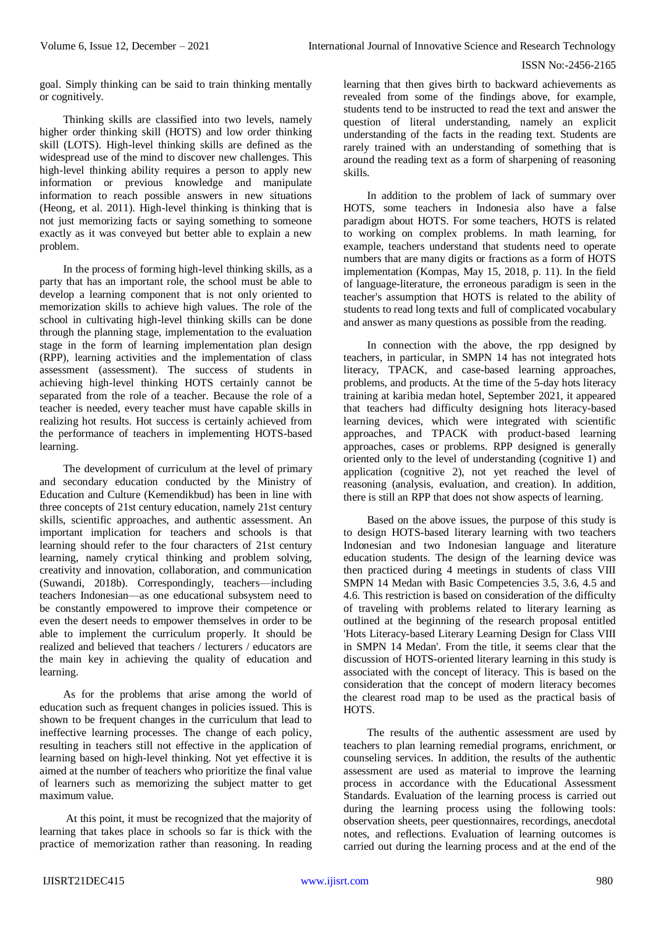goal. Simply thinking can be said to train thinking mentally or cognitively.

Thinking skills are classified into two levels, namely higher order thinking skill (HOTS) and low order thinking skill (LOTS). High-level thinking skills are defined as the widespread use of the mind to discover new challenges. This high-level thinking ability requires a person to apply new information or previous knowledge and manipulate information to reach possible answers in new situations (Heong, et al. 2011). High-level thinking is thinking that is not just memorizing facts or saying something to someone exactly as it was conveyed but better able to explain a new problem.

In the process of forming high-level thinking skills, as a party that has an important role, the school must be able to develop a learning component that is not only oriented to memorization skills to achieve high values. The role of the school in cultivating high-level thinking skills can be done through the planning stage, implementation to the evaluation stage in the form of learning implementation plan design (RPP), learning activities and the implementation of class assessment (assessment). The success of students in achieving high-level thinking HOTS certainly cannot be separated from the role of a teacher. Because the role of a teacher is needed, every teacher must have capable skills in realizing hot results. Hot success is certainly achieved from the performance of teachers in implementing HOTS-based learning.

The development of curriculum at the level of primary and secondary education conducted by the Ministry of Education and Culture (Kemendikbud) has been in line with three concepts of 21st century education, namely 21st century skills, scientific approaches, and authentic assessment. An important implication for teachers and schools is that learning should refer to the four characters of 21st century learning, namely crytical thinking and problem solving, creativity and innovation, collaboration, and communication (Suwandi, 2018b). Correspondingly, teachers—including teachers Indonesian—as one educational subsystem need to be constantly empowered to improve their competence or even the desert needs to empower themselves in order to be able to implement the curriculum properly. It should be realized and believed that teachers / lecturers / educators are the main key in achieving the quality of education and learning.

As for the problems that arise among the world of education such as frequent changes in policies issued. This is shown to be frequent changes in the curriculum that lead to ineffective learning processes. The change of each policy, resulting in teachers still not effective in the application of learning based on high-level thinking. Not yet effective it is aimed at the number of teachers who prioritize the final value of learners such as memorizing the subject matter to get maximum value.

At this point, it must be recognized that the majority of learning that takes place in schools so far is thick with the practice of memorization rather than reasoning. In reading learning that then gives birth to backward achievements as revealed from some of the findings above, for example, students tend to be instructed to read the text and answer the question of literal understanding, namely an explicit understanding of the facts in the reading text. Students are rarely trained with an understanding of something that is around the reading text as a form of sharpening of reasoning skills.

In addition to the problem of lack of summary over HOTS, some teachers in Indonesia also have a false paradigm about HOTS. For some teachers, HOTS is related to working on complex problems. In math learning, for example, teachers understand that students need to operate numbers that are many digits or fractions as a form of HOTS implementation (Kompas, May 15, 2018, p. 11). In the field of language-literature, the erroneous paradigm is seen in the teacher's assumption that HOTS is related to the ability of students to read long texts and full of complicated vocabulary and answer as many questions as possible from the reading.

In connection with the above, the rpp designed by teachers, in particular, in SMPN 14 has not integrated hots literacy, TPACK, and case-based learning approaches, problems, and products. At the time of the 5-day hots literacy training at karibia medan hotel, September 2021, it appeared that teachers had difficulty designing hots literacy-based learning devices, which were integrated with scientific approaches, and TPACK with product-based learning approaches, cases or problems. RPP designed is generally oriented only to the level of understanding (cognitive 1) and application (cognitive 2), not yet reached the level of reasoning (analysis, evaluation, and creation). In addition, there is still an RPP that does not show aspects of learning.

Based on the above issues, the purpose of this study is to design HOTS-based literary learning with two teachers Indonesian and two Indonesian language and literature education students. The design of the learning device was then practiced during 4 meetings in students of class VIII SMPN 14 Medan with Basic Competencies 3.5, 3.6, 4.5 and 4.6. This restriction is based on consideration of the difficulty of traveling with problems related to literary learning as outlined at the beginning of the research proposal entitled 'Hots Literacy-based Literary Learning Design for Class VIII in SMPN 14 Medan'. From the title, it seems clear that the discussion of HOTS-oriented literary learning in this study is associated with the concept of literacy. This is based on the consideration that the concept of modern literacy becomes the clearest road map to be used as the practical basis of **HOTS** 

The results of the authentic assessment are used by teachers to plan learning remedial programs, enrichment, or counseling services. In addition, the results of the authentic assessment are used as material to improve the learning process in accordance with the Educational Assessment Standards. Evaluation of the learning process is carried out during the learning process using the following tools: observation sheets, peer questionnaires, recordings, anecdotal notes, and reflections. Evaluation of learning outcomes is carried out during the learning process and at the end of the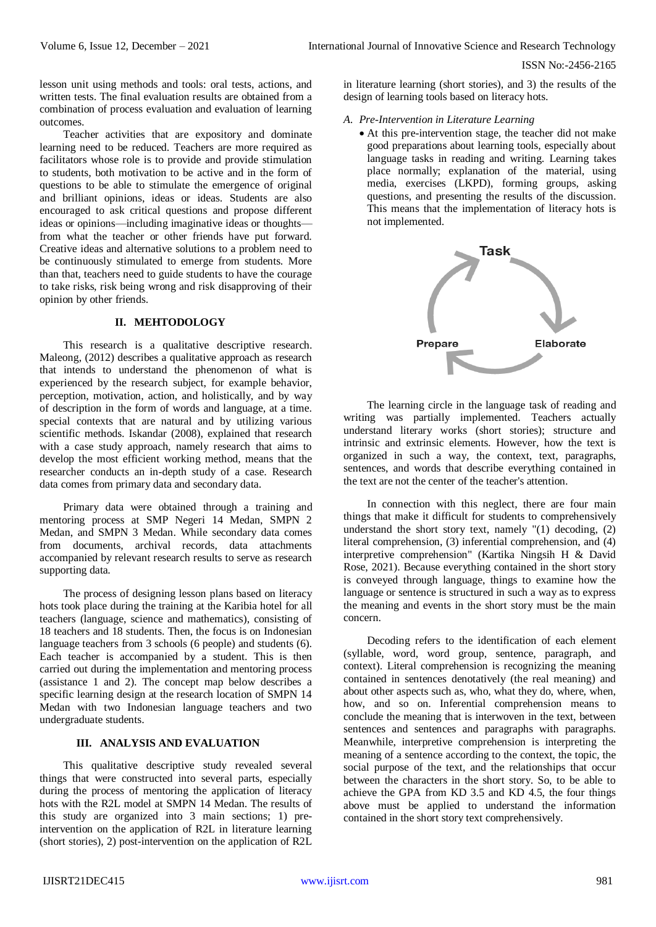lesson unit using methods and tools: oral tests, actions, and written tests. The final evaluation results are obtained from a combination of process evaluation and evaluation of learning outcomes.

Teacher activities that are expository and dominate learning need to be reduced. Teachers are more required as facilitators whose role is to provide and provide stimulation to students, both motivation to be active and in the form of questions to be able to stimulate the emergence of original and brilliant opinions, ideas or ideas. Students are also encouraged to ask critical questions and propose different ideas or opinions—including imaginative ideas or thoughts from what the teacher or other friends have put forward. Creative ideas and alternative solutions to a problem need to be continuously stimulated to emerge from students. More than that, teachers need to guide students to have the courage to take risks, risk being wrong and risk disapproving of their opinion by other friends.

# **II. MEHTODOLOGY**

This research is a qualitative descriptive research. Maleong, (2012) describes a qualitative approach as research that intends to understand the phenomenon of what is experienced by the research subject, for example behavior, perception, motivation, action, and holistically, and by way of description in the form of words and language, at a time. special contexts that are natural and by utilizing various scientific methods. Iskandar (2008), explained that research with a case study approach, namely research that aims to develop the most efficient working method, means that the researcher conducts an in-depth study of a case. Research data comes from primary data and secondary data.

Primary data were obtained through a training and mentoring process at SMP Negeri 14 Medan, SMPN 2 Medan, and SMPN 3 Medan. While secondary data comes from documents, archival records, data attachments accompanied by relevant research results to serve as research supporting data.

The process of designing lesson plans based on literacy hots took place during the training at the Karibia hotel for all teachers (language, science and mathematics), consisting of 18 teachers and 18 students. Then, the focus is on Indonesian language teachers from 3 schools (6 people) and students (6). Each teacher is accompanied by a student. This is then carried out during the implementation and mentoring process (assistance 1 and 2). The concept map below describes a specific learning design at the research location of SMPN 14 Medan with two Indonesian language teachers and two undergraduate students.

# **III. ANALYSIS AND EVALUATION**

This qualitative descriptive study revealed several things that were constructed into several parts, especially during the process of mentoring the application of literacy hots with the R2L model at SMPN 14 Medan. The results of this study are organized into 3 main sections; 1) preintervention on the application of R2L in literature learning (short stories), 2) post-intervention on the application of R2L in literature learning (short stories), and 3) the results of the design of learning tools based on literacy hots.

- *A. Pre-Intervention in Literature Learning*
	- At this pre-intervention stage, the teacher did not make good preparations about learning tools, especially about language tasks in reading and writing. Learning takes place normally; explanation of the material, using media, exercises (LKPD), forming groups, asking questions, and presenting the results of the discussion. This means that the implementation of literacy hots is not implemented.



The learning circle in the language task of reading and writing was partially implemented. Teachers actually understand literary works (short stories); structure and intrinsic and extrinsic elements. However, how the text is organized in such a way, the context, text, paragraphs, sentences, and words that describe everything contained in the text are not the center of the teacher's attention.

In connection with this neglect, there are four main things that make it difficult for students to comprehensively understand the short story text, namely "(1) decoding, (2) literal comprehension, (3) inferential comprehension, and (4) interpretive comprehension" (Kartika Ningsih H & David Rose, 2021). Because everything contained in the short story is conveyed through language, things to examine how the language or sentence is structured in such a way as to express the meaning and events in the short story must be the main concern.

Decoding refers to the identification of each element (syllable, word, word group, sentence, paragraph, and context). Literal comprehension is recognizing the meaning contained in sentences denotatively (the real meaning) and about other aspects such as, who, what they do, where, when, how, and so on. Inferential comprehension means to conclude the meaning that is interwoven in the text, between sentences and sentences and paragraphs with paragraphs. Meanwhile, interpretive comprehension is interpreting the meaning of a sentence according to the context, the topic, the social purpose of the text, and the relationships that occur between the characters in the short story. So, to be able to achieve the GPA from KD 3.5 and KD 4.5, the four things above must be applied to understand the information contained in the short story text comprehensively.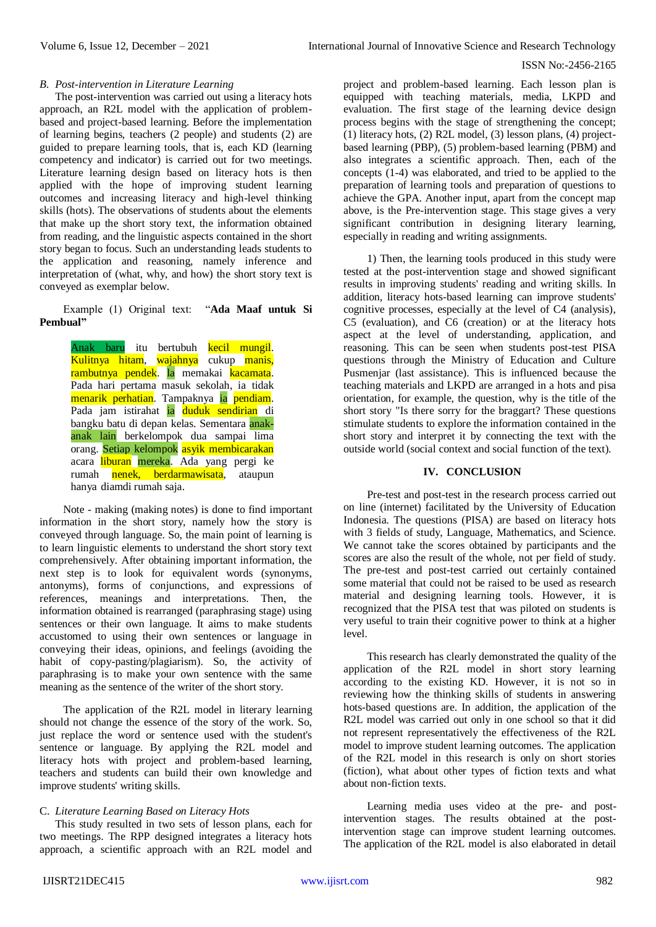### *B. Post-intervention in Literature Learning*

The post-intervention was carried out using a literacy hots approach, an R2L model with the application of problembased and project-based learning. Before the implementation of learning begins, teachers (2 people) and students (2) are guided to prepare learning tools, that is, each KD (learning competency and indicator) is carried out for two meetings. Literature learning design based on literacy hots is then applied with the hope of improving student learning outcomes and increasing literacy and high-level thinking skills (hots). The observations of students about the elements that make up the short story text, the information obtained from reading, and the linguistic aspects contained in the short story began to focus. Such an understanding leads students to the application and reasoning, namely inference and interpretation of (what, why, and how) the short story text is conveyed as exemplar below.

Example (1) Original text: "**Ada Maaf untuk Si Pembual"**

> Anak baru itu bertubuh kecil mungil. Kulitnya hitam, wajahnya cukup manis, rambutnya pendek. la memakai kacamata. Pada hari pertama masuk sekolah, ia tidak menarik perhatian. Tampaknya ia pendiam. Pada jam istirahat ia duduk sendirian di bangku batu di depan kelas. Sementara anakanak lain berkelompok dua sampai lima orang. Setiap kelompok asyik membicarakan acara liburan mereka. Ada yang pergi ke rumah nenek, berdarmawisata, ataupun hanya diamdi rumah saja.

Note - making (making notes) is done to find important information in the short story, namely how the story is conveyed through language. So, the main point of learning is to learn linguistic elements to understand the short story text comprehensively. After obtaining important information, the next step is to look for equivalent words (synonyms, antonyms), forms of conjunctions, and expressions of references, meanings and interpretations. Then, the information obtained is rearranged (paraphrasing stage) using sentences or their own language. It aims to make students accustomed to using their own sentences or language in conveying their ideas, opinions, and feelings (avoiding the habit of copy-pasting/plagiarism). So, the activity of paraphrasing is to make your own sentence with the same meaning as the sentence of the writer of the short story.

The application of the R2L model in literary learning should not change the essence of the story of the work. So, just replace the word or sentence used with the student's sentence or language. By applying the R2L model and literacy hots with project and problem-based learning, teachers and students can build their own knowledge and improve students' writing skills.

## C. *Literature Learning Based on Literacy Hots*

This study resulted in two sets of lesson plans, each for two meetings. The RPP designed integrates a literacy hots approach, a scientific approach with an R2L model and project and problem-based learning. Each lesson plan is equipped with teaching materials, media, LKPD and evaluation. The first stage of the learning device design process begins with the stage of strengthening the concept; (1) literacy hots, (2) R2L model, (3) lesson plans, (4) projectbased learning (PBP), (5) problem-based learning (PBM) and also integrates a scientific approach. Then, each of the concepts (1-4) was elaborated, and tried to be applied to the preparation of learning tools and preparation of questions to achieve the GPA. Another input, apart from the concept map above, is the Pre-intervention stage. This stage gives a very significant contribution in designing literary learning, especially in reading and writing assignments.

1) Then, the learning tools produced in this study were tested at the post-intervention stage and showed significant results in improving students' reading and writing skills. In addition, literacy hots-based learning can improve students' cognitive processes, especially at the level of C4 (analysis), C5 (evaluation), and C6 (creation) or at the literacy hots aspect at the level of understanding, application, and reasoning. This can be seen when students post-test PISA questions through the Ministry of Education and Culture Pusmenjar (last assistance). This is influenced because the teaching materials and LKPD are arranged in a hots and pisa orientation, for example, the question, why is the title of the short story "Is there sorry for the braggart? These questions stimulate students to explore the information contained in the short story and interpret it by connecting the text with the outside world (social context and social function of the text).

#### **IV. CONCLUSION**

Pre-test and post-test in the research process carried out on line (internet) facilitated by the University of Education Indonesia. The questions (PISA) are based on literacy hots with 3 fields of study, Language, Mathematics, and Science. We cannot take the scores obtained by participants and the scores are also the result of the whole, not per field of study. The pre-test and post-test carried out certainly contained some material that could not be raised to be used as research material and designing learning tools. However, it is recognized that the PISA test that was piloted on students is very useful to train their cognitive power to think at a higher level.

This research has clearly demonstrated the quality of the application of the R2L model in short story learning according to the existing KD. However, it is not so in reviewing how the thinking skills of students in answering hots-based questions are. In addition, the application of the R2L model was carried out only in one school so that it did not represent representatively the effectiveness of the R2L model to improve student learning outcomes. The application of the R2L model in this research is only on short stories (fiction), what about other types of fiction texts and what about non-fiction texts.

Learning media uses video at the pre- and postintervention stages. The results obtained at the postintervention stage can improve student learning outcomes. The application of the R2L model is also elaborated in detail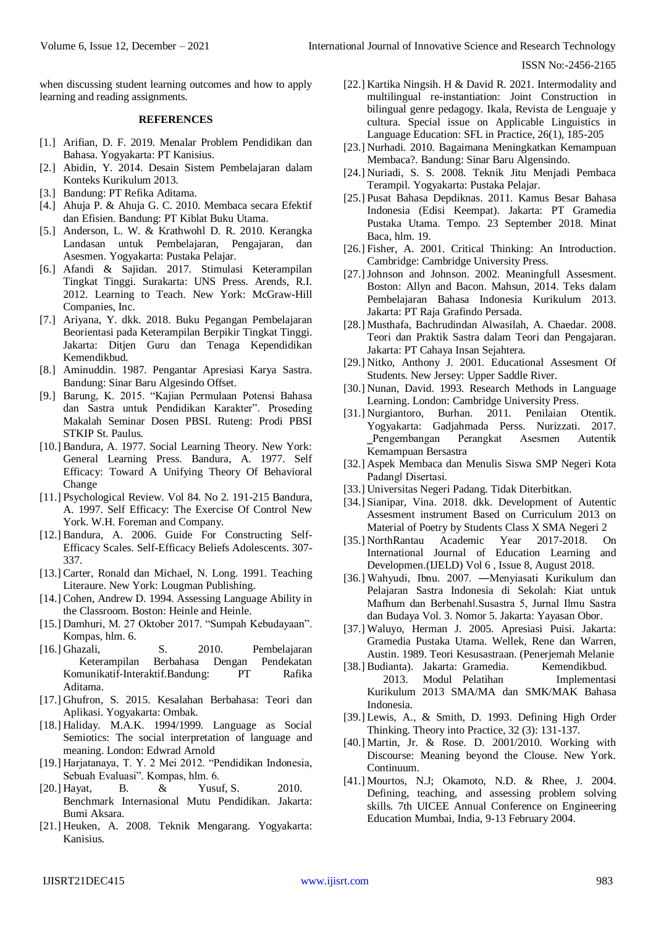when discussing student learning outcomes and how to apply learning and reading assignments.

#### **REFERENCES**

- [1.] Arifian, D. F. 2019. Menalar Problem Pendidikan dan Bahasa. Yogyakarta: PT Kanisius.
- [2.] Abidin, Y. 2014. Desain Sistem Pembelajaran dalam Konteks Kurikulum 2013.
- [3.] Bandung: PT Refika Aditama.
- [4.] Ahuja P. & Ahuja G. C. 2010. Membaca secara Efektif dan Efisien. Bandung: PT Kiblat Buku Utama.
- [5.] Anderson, L. W. & Krathwohl D. R. 2010. Kerangka Landasan untuk Pembelajaran, Pengajaran, dan Asesmen. Yogyakarta: Pustaka Pelajar.
- [6.] Afandi & Sajidan. 2017. Stimulasi Keterampilan Tingkat Tinggi. Surakarta: UNS Press. Arends, R.I. 2012. Learning to Teach. New York: McGraw-Hill Companies, Inc.
- [7.] Ariyana, Y. dkk. 2018. Buku Pegangan Pembelajaran Beorientasi pada Keterampilan Berpikir Tingkat Tinggi. Jakarta: Ditjen Guru dan Tenaga Kependidikan Kemendikbud.
- [8.] Aminuddin. 1987. Pengantar Apresiasi Karya Sastra. Bandung: Sinar Baru Algesindo Offset.
- [9.] Barung, K. 2015. "Kajian Permulaan Potensi Bahasa dan Sastra untuk Pendidikan Karakter". Proseding Makalah Seminar Dosen PBSI. Ruteng: Prodi PBSI STKIP St. Paulus.
- [10.] Bandura, A. 1977. Social Learning Theory. New York: General Learning Press. Bandura, A. 1977. Self Efficacy: Toward A Unifying Theory Of Behavioral Change
- [11.] Psychological Review. Vol 84. No 2. 191-215 Bandura, A. 1997. Self Efficacy: The Exercise Of Control New York. W.H. Foreman and Company.
- [12.] Bandura, A. 2006. Guide For Constructing Self-Efficacy Scales. Self-Efficacy Beliefs Adolescents. 307- 337.
- [13.] Carter, Ronald dan Michael, N. Long. 1991. Teaching Literaure. New York: Lougman Publishing.
- [14.] Cohen, Andrew D. 1994. Assessing Language Ability in the Classroom. Boston: Heinle and Heinle.
- [15.] Damhuri, M. 27 Oktober 2017. "Sumpah Kebudayaan". Kompas, hlm. 6.
- [16.] Ghazali, S. 2010. Pembelajaran Keterampilan Berbahasa Dengan Pendekatan Komunikatif-Interaktif.Bandung: PT Rafika Aditama.
- [17.] Ghufron, S. 2015. Kesalahan Berbahasa: Teori dan Aplikasi. Yogyakarta: Ombak.
- [18.] Haliday. M.A.K. 1994/1999. Language as Social Semiotics: The social interpretation of language and meaning. London: Edwrad Arnold
- [19.] Harjatanaya, T. Y. 2 Mei 2012. "Pendidikan Indonesia, Sebuah Evaluasi". Kompas, hlm. 6.
- [20.] Hayat, B. & Yusuf, S. 2010. Benchmark Internasional Mutu Pendidikan. Jakarta: Bumi Aksara.
- [21.] Heuken, A. 2008. Teknik Mengarang. Yogyakarta: Kanisius.
- [22.] Kartika Ningsih. H & David R. 2021. Intermodality and multilingual re-instantiation: Joint Construction in bilingual genre pedagogy. Ikala, Revista de Lenguaje y cultura. Special issue on Applicable Linguistics in Language Education: SFL in Practice, 26(1), 185-205
- [23.] Nurhadi. 2010. Bagaimana Meningkatkan Kemampuan Membaca?. Bandung: Sinar Baru Algensindo.
- [24.] Nuriadi, S. S. 2008. Teknik Jitu Menjadi Pembaca Terampil. Yogyakarta: Pustaka Pelajar.
- [25.] Pusat Bahasa Depdiknas. 2011. Kamus Besar Bahasa Indonesia (Edisi Keempat). Jakarta: PT Gramedia Pustaka Utama. Tempo. 23 September 2018. Minat Baca, hlm. 19.
- [26.] Fisher, A. 2001. Critical Thinking: An Introduction. Cambridge: Cambridge University Press.
- [27.] Johnson and Johnson. 2002. Meaningfull Assesment. Boston: Allyn and Bacon. Mahsun, 2014. Teks dalam Pembelajaran Bahasa Indonesia Kurikulum 2013. Jakarta: PT Raja Grafindo Persada.
- [28.] Musthafa, Bachrudindan Alwasilah, A. Chaedar. 2008. Teori dan Praktik Sastra dalam Teori dan Pengajaran. Jakarta: PT Cahaya Insan Sejahtera.
- [29.] Nitko, Anthony J. 2001. Educational Assesment Of Students. New Jersey: Upper Saddle River.
- [30.] Nunan, David. 1993. Research Methods in Language Learning. London: Cambridge University Press.
- [31.] Nurgiantoro, Burhan. 2011. Penilaian Otentik. Yogyakarta: Gadjahmada Perss. Nurizzati. 2017. ‗Pengembangan Perangkat Asesmen Autentik Kemampuan Bersastra
- [32.] Aspek Membaca dan Menulis Siswa SMP Negeri Kota Padang‖ Disertasi.
- [33.] Universitas Negeri Padang. Tidak Diterbitkan.
- [34.] Sianipar, Vina. 2018. dkk. Development of Autentic Assesment instrument Based on Curriculum 2013 on Material of Poetry by Students Class X SMA Negeri 2
- [35.] NorthRantau Academic Year 2017-2018. On International Journal of Education Learning and Developmen.(IJELD) Vol 6 , Issue 8, August 2018.
- [36.] Wahyudi, Ibnu. 2007. ―Menyiasati Kurikulum dan Pelajaran Sastra Indonesia di Sekolah: Kiat untuk Mafhum dan Berbenah‖.Susastra 5, Jurnal Ilmu Sastra dan Budaya Vol. 3. Nomor 5. Jakarta: Yayasan Obor.
- [37.] Waluyo, Herman J. 2005. Apresiasi Puisi. Jakarta: Gramedia Pustaka Utama. Wellek, Rene dan Warren, Austin. 1989. Teori Kesusastraan. (Penerjemah Melanie
- [38.] Budianta). Jakarta: Gramedia. Kemendikbud. 2013. Modul Pelatihan Implementasi Kurikulum 2013 SMA/MA dan SMK/MAK Bahasa Indonesia.
- [39.] Lewis, A., & Smith, D. 1993. Defining High Order Thinking. Theory into Practice, 32 (3): 131-137.
- [40.] Martin, Jr. & Rose. D. 2001/2010. Working with Discourse: Meaning beyond the Clouse. New York. Continuum.
- [41.] Mourtos, N.J; Okamoto, N.D. & Rhee, J. 2004. Defining, teaching, and assessing problem solving skills. 7th UICEE Annual Conference on Engineering Education Mumbai, India, 9-13 February 2004.